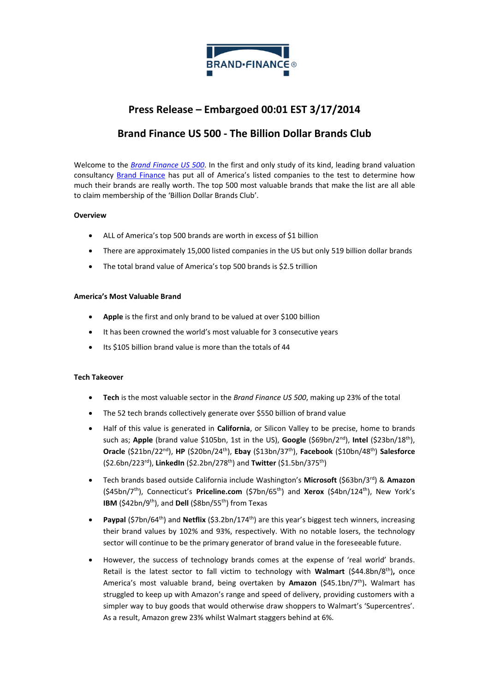

# **Press Release – Embargoed 00:01 EST 3/17/2014**

## **Brand Finance US 500 - The Billion Dollar Brands Club**

Welcome to the *[Brand Finance US 500](http://brandirectory.com/league_tables/table/usa-500-2014)*. In the first and only study of its kind, leading brand valuation consultancy **Brand Finance** has put all of America's listed companies to the test to determine how much their brands are really worth. The top 500 most valuable brands that make the list are all able to claim membership of the 'Billion Dollar Brands Club'.

## **Overview**

- ALL of America's top 500 brands are worth in excess of \$1 billion
- There are approximately 15,000 listed companies in the US but only 519 billion dollar brands
- The total brand value of America's top 500 brands is \$2.5 trillion

## **America's Most Valuable Brand**

- **Apple** is the first and only brand to be valued at over \$100 billion
- It has been crowned the world's most valuable for 3 consecutive years
- Its \$105 billion brand value is more than the totals of 44

### **Tech Takeover**

- **Tech** is the most valuable sector in the *Brand Finance US 500*, making up 23% of the total
- The 52 tech brands collectively generate over \$550 billion of brand value
- Half of this value is generated in **California**, or Silicon Valley to be precise, home to brands such as; **Apple** (brand value \$105bn, 1st in the US), **Google** (\$69bn/2 nd), **Intel** (\$23bn/18th), **Oracle** (\$21bn/22nd), **HP** (\$20bn/24th), **Ebay** (\$13bn/37th), **Facebook** (\$10bn/48th) **Salesforce** (\$2.6bn/223rd), **LinkedIn** (\$2.2bn/278th) and **Twitter** (\$1.5bn/375th)
- Tech brands based outside California include Washington's **Microsoft** (\$63bn/3rd) & **Amazon** (\$45bn/7th), Connecticut's **Priceline.com** (\$7bn/65th) and **Xerox** (\$4bn/124th), New York's **IBM** (\$42bn/9<sup>th</sup>), and **Dell** (\$8bn/55<sup>th</sup>) from Texas
- Paypal (\$7bn/64<sup>th</sup>) and Netflix (\$3.2bn/174<sup>th</sup>) are this year's biggest tech winners, increasing their brand values by 102% and 93%, respectively. With no notable losers, the technology sector will continue to be the primary generator of brand value in the foreseeable future.
- However, the success of technology brands comes at the expense of 'real world' brands. Retail is the latest sector to fall victim to technology with Walmart (\$44.8bn/8<sup>th</sup>), once America's most valuable brand, being overtaken by **Amazon** (\$45.1bn/7 th)**.** Walmart has struggled to keep up with Amazon's range and speed of delivery, providing customers with a simpler way to buy goods that would otherwise draw shoppers to Walmart's 'Supercentres'. As a result, Amazon grew 23% whilst Walmart staggers behind at 6%.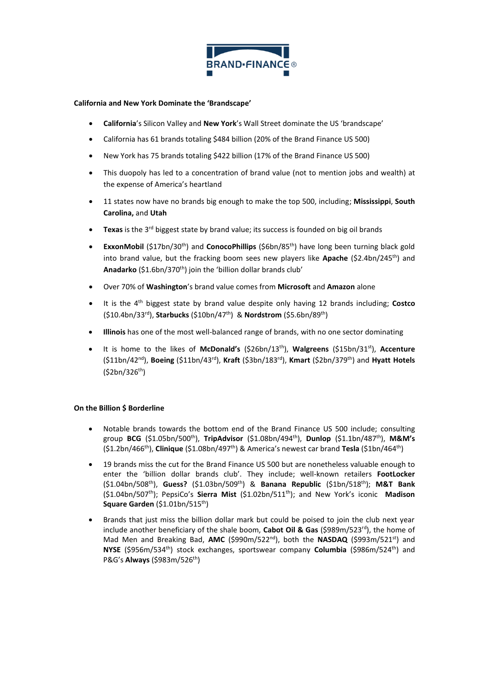

### **California and New York Dominate the 'Brandscape'**

- **California**'s Silicon Valley and **New York**'s Wall Street dominate the US 'brandscape'
- California has 61 brands totaling \$484 billion (20% of the Brand Finance US 500)
- New York has 75 brands totaling \$422 billion (17% of the Brand Finance US 500)
- This duopoly has led to a concentration of brand value (not to mention jobs and wealth) at the expense of America's heartland
- 11 states now have no brands big enough to make the top 500, including; **Mississippi**, **South Carolina,** and **Utah**
- Texas is the 3<sup>rd</sup> biggest state by brand value; its success is founded on big oil brands
- **ExxonMobil** (\$17bn/30<sup>th</sup>) and **ConocoPhillips** (\$6bn/85<sup>th</sup>) have long been turning black gold into brand value, but the fracking boom sees new players like **Apache** (\$2.4bn/245th) and Anadarko (\$1.6bn/370<sup>th</sup>) join the 'billion dollar brands club'
- Over 70% of **Washington**'s brand value comes from **Microsoft** and **Amazon** alone
- It is the 4th biggest state by brand value despite only having 12 brands including; **Costco** (\$10.4bn/33rd), **Starbucks** (\$10bn/47th) & **Nordstrom** (\$5.6bn/89th)
- **Illinois** has one of the most well-balanced range of brands, with no one sector dominating
- It is home to the likes of **McDonald's** (\$26bn/13th), **Walgreens** (\$15bn/31st), **Accenture** (\$11bn/42nd), **Boeing** (\$11bn/43rd), **Kraft** (\$3bn/183rd), **Kmart** (\$2bn/379th) and **Hyatt Hotels**  $(52bn/326<sup>th</sup>)$

### **On the Billion \$ Borderline**

- Notable brands towards the bottom end of the Brand Finance US 500 include; consulting group **BCG** (\$1.05bn/500th), **TripAdvisor** (\$1.08bn/494th), **Dunlop** (\$1.1bn/487th), **M&M's** (\$1.2bn/466th), **Clinique** (\$1.08bn/497th) & America's newest car brand **Tesla** (\$1bn/464th)
- 19 brands miss the cut for the Brand Finance US 500 but are nonetheless valuable enough to enter the 'billion dollar brands club'. They include; well-known retailers **FootLocker** (\$1.04bn/508th), **Guess?** (\$1.03bn/509th) & **Banana Republic** (\$1bn/518th); **M&T Bank** (\$1.04bn/507th); PepsiCo's **Sierra Mist** (\$1.02bn/511th); and New York's iconic **Madison Square Garden** (\$1.01bn/515th)
- Brands that just miss the billion dollar mark but could be poised to join the club next year include another beneficiary of the shale boom, **Cabot Oil & Gas** (\$989m/523rd), the home of Mad Men and Breaking Bad, **AMC** (\$990m/522<sup>nd</sup>), both the **NASDAQ** (\$993m/521<sup>st</sup>) and **NYSE** (\$956m/534th) stock exchanges, sportswear company **Columbia** (\$986m/524th) and P&G's **Always** (\$983m/526th)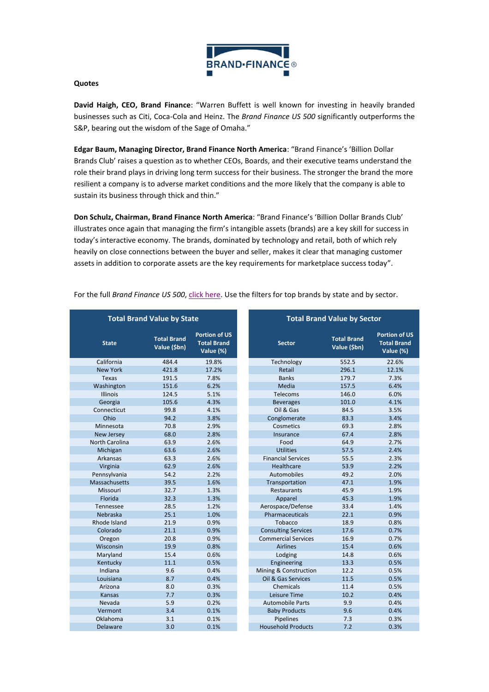

#### **Quotes**

**David Haigh, CEO, Brand Finance**: "Warren Buffett is well known for investing in heavily branded businesses such as Citi, Coca-Cola and Heinz. The *Brand Finance US 500* significantly outperforms the S&P, bearing out the wisdom of the Sage of Omaha."

**Edgar Baum, Managing Director, Brand Finance North America**: "Brand Finance's 'Billion Dollar Brands Club' raises a question as to whether CEOs, Boards, and their executive teams understand the role their brand plays in driving long term success for their business. The stronger the brand the more resilient a company is to adverse market conditions and the more likely that the company is able to sustain its business through thick and thin."

**Don Schulz, Chairman, Brand Finance North America**: "Brand Finance's 'Billion Dollar Brands Club' illustrates once again that managing the firm's intangible assets (brands) are a key skill for success in today's interactive economy. The brands, dominated by technology and retail, both of which rely heavily on close connections between the buyer and seller, makes it clear that managing customer assets in addition to corporate assets are the key requirements for marketplace success today".

|                   | <b>Total Brand Value by State</b>  |                                                         | <b>Total Brand Value by Sector</b>                  |       |                                                         |  |  |
|-------------------|------------------------------------|---------------------------------------------------------|-----------------------------------------------------|-------|---------------------------------------------------------|--|--|
| <b>State</b>      | <b>Total Brand</b><br>Value (\$bn) | <b>Portion of US</b><br><b>Total Brand</b><br>Value (%) | <b>Total Brand</b><br><b>Sector</b><br>Value (\$bn) |       | <b>Portion of US</b><br><b>Total Brand</b><br>Value (%) |  |  |
| California        | 484.4                              | 19.8%                                                   | Technology                                          | 552.5 | 22.6%                                                   |  |  |
| <b>New York</b>   | 421.8                              | 17.2%                                                   | Retail                                              | 296.1 | 12.1%                                                   |  |  |
| Texas             | 191.5                              | 7.8%                                                    | <b>Banks</b>                                        | 179.7 | 7.3%                                                    |  |  |
| Washington        | 151.6                              | 6.2%                                                    | Media                                               | 157.5 | 6.4%                                                    |  |  |
| <b>Illinois</b>   | 124.5                              | 5.1%                                                    | Telecoms                                            | 146.0 | 6.0%                                                    |  |  |
| Georgia           | 105.6                              | 4.3%                                                    | <b>Beverages</b>                                    | 101.0 | 4.1%                                                    |  |  |
| Connecticut       | 99.8                               | 4.1%                                                    | Oil & Gas                                           | 84.5  | 3.5%                                                    |  |  |
| Ohio              | 94.2                               | 3.8%                                                    | Conglomerate                                        | 83.3  | 3.4%                                                    |  |  |
| Minnesota         | 70.8                               | 2.9%                                                    | Cosmetics                                           | 69.3  | 2.8%                                                    |  |  |
| <b>New Jersey</b> | 68.0                               | 2.8%                                                    | Insurance                                           | 67.4  | 2.8%                                                    |  |  |
| North Carolina    | 63.9                               | 2.6%                                                    | Food                                                | 64.9  | 2.7%                                                    |  |  |
| Michigan          | 63.6                               | 2.6%                                                    | <b>Utilities</b>                                    | 57.5  | 2.4%                                                    |  |  |
| Arkansas          | 63.3                               | 2.6%                                                    | <b>Financial Services</b>                           | 55.5  | 2.3%                                                    |  |  |
| Virginia          | 62.9                               | 2.6%                                                    | <b>Healthcare</b>                                   | 53.9  | 2.2%                                                    |  |  |
| Pennsylvania      | 54.2                               | 2.2%                                                    | Automobiles                                         | 49.2  | 2.0%                                                    |  |  |
| Massachusetts     | 39.5                               | 1.6%                                                    | Transportation                                      | 47.1  | 1.9%                                                    |  |  |
| Missouri          | 32.7                               | 1.3%                                                    | Restaurants                                         | 45.9  | 1.9%                                                    |  |  |
| Florida           | 32.3                               | 1.3%                                                    | Apparel                                             | 45.3  | 1.9%                                                    |  |  |
| Tennessee         | 28.5                               | 1.2%                                                    | Aerospace/Defense                                   | 33.4  | 1.4%                                                    |  |  |
| Nebraska          | 25.1                               | 1.0%                                                    | Pharmaceuticals                                     | 22.1  | 0.9%                                                    |  |  |
| Rhode Island      | 21.9                               | 0.9%                                                    | Tobacco                                             | 18.9  | 0.8%                                                    |  |  |
| Colorado          | 21.1                               | 0.9%                                                    | <b>Consulting Services</b>                          | 17.6  | 0.7%                                                    |  |  |
| Oregon            | 20.8                               | 0.9%                                                    | <b>Commercial Services</b>                          | 16.9  | 0.7%                                                    |  |  |
| Wisconsin         | 19.9                               | 0.8%                                                    | <b>Airlines</b>                                     | 15.4  | 0.6%                                                    |  |  |
| Maryland          | 15.4                               | 0.6%                                                    | Lodging                                             | 14.8  | 0.6%                                                    |  |  |
| Kentucky          | 11.1                               | 0.5%                                                    | Engineering                                         | 13.3  | 0.5%                                                    |  |  |
| Indiana           | 9.6                                | 0.4%                                                    | Mining & Construction                               | 12.2  | 0.5%                                                    |  |  |
| Louisiana         | 8.7                                | 0.4%                                                    | Oil & Gas Services                                  | 11.5  | 0.5%                                                    |  |  |
| Arizona           | 8.0                                | 0.3%                                                    | Chemicals                                           | 11.4  | 0.5%                                                    |  |  |
| Kansas            | 7.7                                | 0.3%                                                    | Leisure Time                                        | 10.2  | 0.4%                                                    |  |  |
| Nevada            | 5.9                                | 0.2%                                                    | <b>Automobile Parts</b>                             | 9.9   | 0.4%                                                    |  |  |
| Vermont           | 3.4                                | 0.1%                                                    | <b>Baby Products</b>                                | 9.6   | 0.4%                                                    |  |  |
| Oklahoma          | 3.1                                | 0.1%                                                    | Pipelines                                           | 7.3   | 0.3%                                                    |  |  |
| Delaware          | 3.0                                | 0.1%                                                    | <b>Household Products</b>                           | 7.2   | 0.3%                                                    |  |  |
|                   |                                    |                                                         |                                                     |       |                                                         |  |  |

For the full *Brand Finance US 500*, [click here.](http://brandirectory.com/league_tables/table/usa-500-2014) Use the filters for top brands by state and by sector.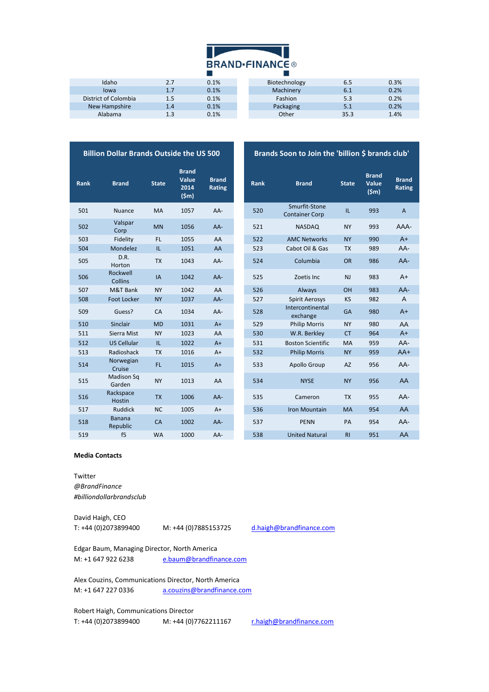

| Idaho                | 2.7 | 0.1% |
|----------------------|-----|------|
| lowa                 | 1.7 | 0.1% |
| District of Colombia | 1.5 | 0.1% |
| New Hampshire        | 1.4 | 0.1% |
| Alabama              | 1.3 | 0.1% |

| Idaho                | 2.7 | 0.1% | Biotechnology | 6.5  | 0.3% |
|----------------------|-----|------|---------------|------|------|
| lowa                 | 1.7 | 0.1% | Machinery     | 6.1  | 0.2% |
| District of Colombia | 1.5 | 0.1% | Fashion       | 5.3  | 0.2% |
| New Hampshire        | 1.4 | 0.1% | Packaging     | 5.1  | 0.2% |
| Alabama              | 1.3 | 0.1% | Other         | 35.3 | 1.4% |
|                      |     |      |               |      |      |

Brands Soon to Join the 'billion \$ brands club'

| <b>Billion Dollar Brands Outside the US 500</b> |                            |              |                                       |                        |  |             | <b>Brands Soon to Join th</b>          |
|-------------------------------------------------|----------------------------|--------------|---------------------------------------|------------------------|--|-------------|----------------------------------------|
| Rank                                            | <b>Brand</b>               | <b>State</b> | <b>Brand</b><br>Value<br>2014<br>(Sm) | <b>Brand</b><br>Rating |  | <b>Rank</b> | <b>Brand</b>                           |
| 501                                             | <b>Nuance</b>              | <b>MA</b>    | 1057                                  | AA-                    |  | 520         | Smurfit-Stone<br><b>Container Corp</b> |
| 502                                             | Valspar<br>Corp            | <b>MN</b>    | 1056                                  | $AA-$                  |  | 521         | <b>NASDAQ</b>                          |
| 503                                             | Fidelity                   | FL.          | 1055                                  | AA                     |  | 522         | <b>AMC Networks</b>                    |
| 504                                             | Mondelez                   | IL.          | 1051                                  | AA                     |  | 523         | Cabot Oil & Gas                        |
| 505                                             | D.R.<br>Horton             | <b>TX</b>    | 1043                                  | AA-                    |  | 524         | Columbia                               |
| 506                                             | Rockwell<br><b>Collins</b> | IA           | 1042                                  | AA-                    |  | 525         | Zoetis Inc                             |
| 507                                             | M&T Bank                   | <b>NY</b>    | 1042                                  | AA                     |  | 526         | Always                                 |
| 508                                             | Foot Locker                | <b>NY</b>    | 1037                                  | AA-                    |  | 527         | <b>Spirit Aerosys</b>                  |
| 509                                             | Guess?                     | CA           | 1034                                  | AA-                    |  | 528         | Intercontinental<br>exchange           |
| 510                                             | Sinclair                   | <b>MD</b>    | 1031                                  | $A+$                   |  | 529         | <b>Philip Morris</b>                   |
| 511                                             | Sierra Mist                | <b>NY</b>    | 1023                                  | AA                     |  | 530         | W.R. Berkley                           |
| 512                                             | <b>US Cellular</b>         | IL.          | 1022                                  | $A+$                   |  | 531         | <b>Boston Scientific</b>               |
| 513                                             | Radioshack                 | <b>TX</b>    | 1016                                  | $A+$                   |  | 532         | <b>Philip Morris</b>                   |
| 514                                             | Norwegian<br>Cruise        | FL.          | 1015                                  | $A+$                   |  | 533         | Apollo Group                           |
| 515                                             | Madison Sq<br>Garden       | <b>NY</b>    | 1013                                  | AA                     |  | 534         | <b>NYSE</b>                            |
| 516                                             | Rackspace<br><b>Hostin</b> | <b>TX</b>    | 1006                                  | AA-                    |  | 535         | Cameron                                |
| 517                                             | <b>Ruddick</b>             | <b>NC</b>    | 1005                                  | $A+$                   |  | 536         | <b>Iron Mountain</b>                   |
| 518                                             | <b>Banana</b><br>Republic  | CA           | 1002                                  | AA-                    |  | 537         | <b>PENN</b>                            |
| 519                                             | f5                         | <b>MA</b>    | 1000                                  | $\Delta \Delta$ -      |  | 538         | <b>United Natural</b>                  |

| <b>Rank</b> | <b>Brand</b>               | <b>State</b> | <b>Brand</b><br>Value<br>2014<br>(Sm) | <b>Brand</b><br>Rating | <b>Rank</b> | <b>Brand</b>                           | <b>State</b> | <b>Brand</b><br>Value<br>(Sm) | <b>Brand</b><br><b>Rating</b> |
|-------------|----------------------------|--------------|---------------------------------------|------------------------|-------------|----------------------------------------|--------------|-------------------------------|-------------------------------|
| 501         | <b>Nuance</b>              | MA           | 1057                                  | AA-                    | 520         | Smurfit-Stone<br><b>Container Corp</b> | IL.          | 993                           | $\overline{A}$                |
| 502         | Valspar<br>Corp            | <b>MN</b>    | 1056                                  | AA-                    | 521         | <b>NASDAQ</b>                          | <b>NY</b>    | 993                           | AAA-                          |
| 503         | Fidelity                   | FL           | 1055                                  | AA                     | 522         | <b>AMC Networks</b>                    | <b>NY</b>    | 990                           | $A+$                          |
| 504         | Mondelez                   | IL           | 1051                                  | AA                     | 523         | Cabot Oil & Gas                        | <b>TX</b>    | 989                           | AA-                           |
| 505         | D.R.<br>Horton             | <b>TX</b>    | 1043                                  | AA-                    | 524         | Columbia                               | <b>OR</b>    | 986                           | $AA-$                         |
| 506         | Rockwell<br>Collins        | IA           | 1042                                  | AA-                    | 525         | Zoetis Inc                             | <b>NJ</b>    | 983                           | $A+$                          |
| 507         | M&T Bank                   | <b>NY</b>    | 1042                                  | AA                     | 526         | Always                                 | OH           | 983                           | $AA-$                         |
| 508         | <b>Foot Locker</b>         | <b>NY</b>    | 1037                                  | AA-                    | 527         | <b>Spirit Aerosys</b>                  | KS           | 982                           | A                             |
| 509         | Guess?                     | CA           | 1034                                  | AA-                    | 528         | Intercontinental<br>exchange           | <b>GA</b>    | 980                           | $A+$                          |
| 510         | Sinclair                   | <b>MD</b>    | 1031                                  | $A+$                   | 529         | <b>Philip Morris</b>                   | <b>NY</b>    | 980                           | AA                            |
| 511         | Sierra Mist                | <b>NY</b>    | 1023                                  | AA                     | 530         | W.R. Berkley                           | <b>CT</b>    | 964                           | $A+$                          |
| 512         | <b>US Cellular</b>         | IL.          | 1022                                  | $A+$                   | 531         | <b>Boston Scientific</b>               | <b>MA</b>    | 959                           | $AA-$                         |
| 513         | Radioshack                 | <b>TX</b>    | 1016                                  | $A+$                   | 532         | <b>Philip Morris</b>                   | <b>NY</b>    | 959                           | $AA+$                         |
| 514         | Norwegian<br>Cruise        | FL.          | 1015                                  | $A+$                   | 533         | Apollo Group                           | <b>AZ</b>    | 956                           | AA-                           |
| 515         | Madison Sq<br>Garden       | <b>NY</b>    | 1013                                  | AA                     | 534         | <b>NYSE</b>                            | <b>NY</b>    | 956                           | AA                            |
| 516         | Rackspace<br><b>Hostin</b> | <b>TX</b>    | 1006                                  | AA-                    | 535         | Cameron                                | <b>TX</b>    | 955                           | $AA-$                         |
| 517         | <b>Ruddick</b>             | <b>NC</b>    | 1005                                  | $A+$                   | 536         | <b>Iron Mountain</b>                   | <b>MA</b>    | 954                           | AA                            |
| 518         | <b>Banana</b><br>Republic  | CA           | 1002                                  | AA-                    | 537         | <b>PENN</b>                            | PA           | 954                           | AA-                           |
| 519         | f <sub>5</sub>             | <b>WA</b>    | 1000                                  | AA-                    | 538         | <b>United Natural</b>                  | R1           | 951                           | AA                            |

#### **Media Contacts**

Twitter *@BrandFinance #billiondollarbrandsclub*

David Haigh, CEO T: +44 (0)2073899400 M: +44 (0)7885153725 d.haigh@brandfinance.com

Edgar Baum, Managing Director, North America M: +1 647 922 6238 [e.baum@brandfinance.com](mailto:e.baum@brandfinance.com)

Alex Couzins, Communications Director, North America M: +1 647 227 0336 [a.couzins@brandfinance.com](mailto:a.couzins@brandfinance.com)

Robert Haigh, Communications Director T: +44 (0)2073899400 M: +44 (0)7762211167 r.haigh@brandfinance.com